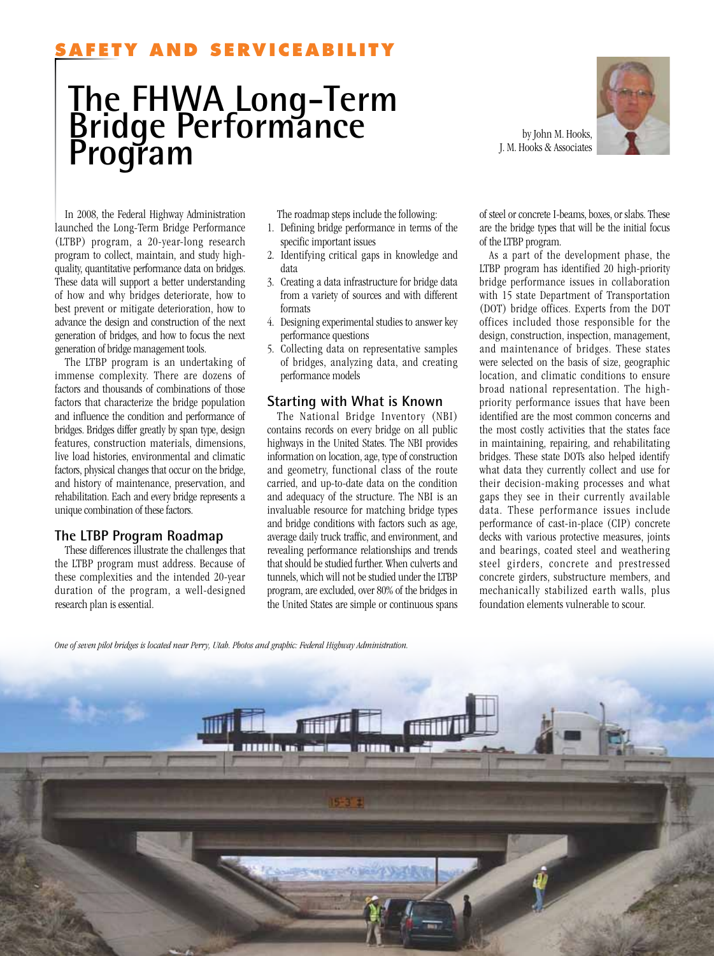## **Y AND SERVICEABI**

# **The FHWA Long-Term Bridge Performance Program** by John M. Hooks, Associates

J. M. Hooks & Associates



In 2008, the Federal Highway Administration launched the Long-Term Bridge Performance (LTBP) program, a 20-year-long research program to collect, maintain, and study highquality, quantitative performance data on bridges. These data will support a better understanding of how and why bridges deteriorate, how to best prevent or mitigate deterioration, how to advance the design and construction of the next generation of bridges, and how to focus the next generation of bridge management tools.

The LTBP program is an undertaking of immense complexity. There are dozens of factors and thousands of combinations of those factors that characterize the bridge population and influence the condition and performance of bridges. Bridges differ greatly by span type, design features, construction materials, dimensions, live load histories, environmental and climatic factors, physical changes that occur on the bridge, and history of maintenance, preservation, and rehabilitation. Each and every bridge represents a unique combination of these factors.

#### **The LTBP Program Roadmap**

These differences illustrate the challenges that the LTBP program must address. Because of these complexities and the intended 20-year duration of the program, a well-designed research plan is essential.

The roadmap steps include the following:

- 1. Defining bridge performance in terms of the specific important issues
- 2. Identifying critical gaps in knowledge and data
- 3. Creating a data infrastructure for bridge data from a variety of sources and with different formats
- 4. Designing experimental studies to answer key performance questions
- 5. Collecting data on representative samples of bridges, analyzing data, and creating performance models

### **Starting with What is Known**

The National Bridge Inventory (NBI) contains records on every bridge on all public highways in the United States. The NBI provides information on location, age, type of construction and geometry, functional class of the route carried, and up-to-date data on the condition and adequacy of the structure. The NBI is an invaluable resource for matching bridge types and bridge conditions with factors such as age, average daily truck traffic, and environment, and revealing performance relationships and trends that should be studied further. When culverts and tunnels, which will not be studied under the LTBP program, are excluded, over 80% of the bridges in the United States are simple or continuous spans

of steel or concrete I-beams, boxes, or slabs. These are the bridge types that will be the initial focus of the LTBP program.

As a part of the development phase, the LTBP program has identified 20 high-priority bridge performance issues in collaboration with 15 state Department of Transportation (DOT) bridge offices. Experts from the DOT offices included those responsible for the design, construction, inspection, management, and maintenance of bridges. These states were selected on the basis of size, geographic location, and climatic conditions to ensure broad national representation. The highpriority performance issues that have been identified are the most common concerns and the most costly activities that the states face in maintaining, repairing, and rehabilitating bridges. These state DOTs also helped identify what data they currently collect and use for their decision-making processes and what gaps they see in their currently available data. These performance issues include performance of cast-in-place (CIP) concrete decks with various protective measures, joints and bearings, coated steel and weathering steel girders, concrete and prestressed concrete girders, substructure members, and mechanically stabilized earth walls, plus foundation elements vulnerable to scour.

```
One of seven pilot bridges is located near Perry, Utah. Photos and graphic: Federal Highway Administration.
```